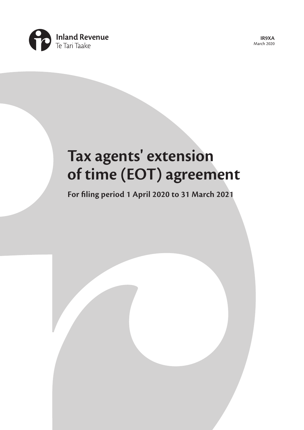

**IR9XA**  March 2020

# **Tax agents' extension of time (EOT) agreement**

**For filing period 1 April 2020 to 31 March 2021**

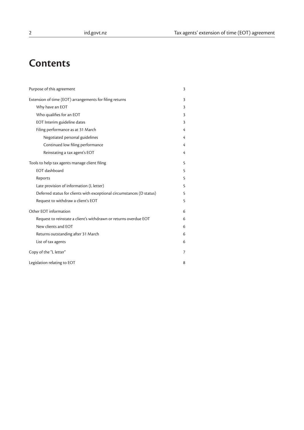# **Contents**

| Purpose of this agreement                                             | 3               |
|-----------------------------------------------------------------------|-----------------|
| Extension of time (EOT) arrangements for filing returns               | 3               |
| Why have an EOT                                                       | 3               |
| Who qualifies for an EOT                                              | 3               |
| EOT Interim guideline dates                                           | 3               |
| Filing performance as at 31 March                                     | 4               |
| Negotiated personal guidelines                                        | 4               |
| Continued low filing performance                                      | 4               |
| Reinstating a tax agent's EOT                                         | 4               |
| Tools to help tax agents manage client filing                         | $5\overline{5}$ |
| <b>EOT</b> dashboard                                                  | 5               |
| Reports                                                               | 5               |
| Late provision of information (L letter)                              | 5               |
| Deferred status for clients with exceptional circumstances (D status) | 5               |
| Request to withdraw a client's EOT                                    | 5               |
| Other EOT information                                                 | 6               |
| Request to reinstate a client's withdrawn or returns overdue EOT      | 6               |
| New clients and EOT                                                   | 6               |
| Returns outstanding after 31 March                                    | 6               |
| List of tax agents                                                    | 6               |
| Copy of the "L letter"                                                | 7               |
| Legislation relating to EOT                                           | 8               |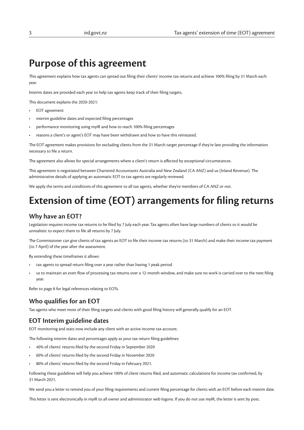## **Purpose of this agreement**

This agreement explains how tax agents can spread out filing their clients' income tax returns and achieve 100% filing by 31 March each year.

Interim dates are provided each year to help tax agents keep track of their filing targets.

This document explains the 2020-2021:

- EOT agreement
- interim guideline dates and expected filing percentages
- performance monitoring using myIR and how to reach 100% filing percentages
- reasons a client's or agent's EOT may have been withdrawn and how to have this reinstated.

The EOT agreement makes provisions for excluding clients from the 31 March target percentage if they're late providing the information necessary to file a return.

The agreement also allows for special arrangements where a client's return is affected by exceptional circumstances.

This agreement is negotiated between Chartered Accountants Australia and New Zealand (CA ANZ) and us (Inland Revenue). The administrative details of applying an automatic EOT to tax agents are regularly reviewed.

We apply the terms and conditions of this agreement to all tax agents, whether they're members of CA ANZ or not.

# **Extension of time (EOT) arrangements for filing returns**

#### **Why have an EOT?**

Legislation requires income tax returns to be filed by 7 July each year. Tax agents often have large numbers of clients so it would be unrealistic to expect them to file all returns by 7 July.

The Commissioner can give clients of tax agents an EOT to file their income tax returns (to 31 March) and make their income tax payment (to 7 April) of the year after the assessment.

By extending these timeframes it allows:

- tax agents to spread return filing over a year rather than having 1 peak period
- us to maintain an even flow of processing tax returns over a 12-month window, and make sure no work is carried over to the next filing year.

Refer to page 8 for legal references relating to EOTs.

#### **Who qualifies for an EOT**

Tax agents who meet most of their filing targets and clients with good filing history will generally qualify for an EOT.

#### **EOT Interim guideline dates**

EOT monitoring and stats now include any client with an active income tax account.

The following interim dates and percentages apply as your tax return filing guidelines:

- 40% of clients' returns filed by the second Friday in September 2020
- 60% of clients' returns filed by the second Friday in November 2020
- 80% of clients' returns filed by the second Friday in February 2021.

Following these guidelines will help you achieve 100% of client returns filed, and automatic calculations for income tax confirmed, by 31 March 2021.

We send you a letter to remind you of your filing requirements and current filing percentage for clients with an EOT before each interim date.

This letter is sent electronically in myIR to all owner and administrator web logons. If you do not use myIR, the letter is sent by post.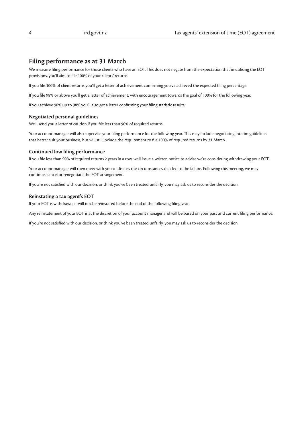#### **Filing performance as at 31 March**

We measure filing performance for those clients who have an EOT. This does not negate from the expectation that in utilising the EOT provisions, you'll aim to file 100% of your clients' returns.

If you file 100% of client returns you'll get a letter of achievement confirming you've achieved the expected filing percentage.

If you file 98% or above you'll get a letter of achievement, with encouragement towards the goal of 100% for the following year.

If you achieve 90% up to 98% you'll also get a letter confirming your filing statistic results.

#### **Negotiated personal guidelines**

We'll send you a letter of caution if you file less than 90% of required returns.

Your account manager will also supervise your filing performance for the following year. This may include negotiating interim guidelines that better suit your business, but will still include the requirement to file 100% of required returns by 31 March.

#### **Continued low filing performance**

If you file less than 90% of required returns 2 years in a row, we'll issue a written notice to advise we're considering withdrawing your EOT.

Your account manager will then meet with you to discuss the circumstances that led to the failure. Following this meeting, we may continue, cancel or renegotiate the EOT arrangement.

If you're not satisfied with our decision, or think you've been treated unfairly, you may ask us to reconsider the decision.

#### **Reinstating a tax agent's EOT**

If your EOT is withdrawn, it will not be reinstated before the end of the following filing year.

Any reinstatement of your EOT is at the discretion of your account manager and will be based on your past and current filing performance.

If you're not satisfied with our decision, or think you've been treated unfairly, you may ask us to reconsider the decision.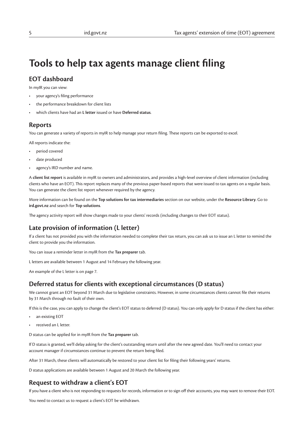# **Tools to help tax agents manage client filing**

#### **EOT dashboard**

In myIR you can view:

- your agency's filing performance
- the performance breakdown for client lists
- which clients have had an **L letter** issued or have **Deferred status**.

#### **Reports**

You can generate a variety of reports in myIR to help manage your return filing. These reports can be exported to excel.

All reports indicate the:

- period covered
- date produced
- agency's IRD number and name.

A **client list report** is available in myIR to owners and administrators, and provides a high-level overview of client information (including clients who have an EOT). This report replaces many of the previous paper-based reports that were issued to tax agents on a regular basis. You can generate the client list report whenever required by the agency.

More information can be found on the **Top solutions for tax intermediaries** section on our website, under the **Resource Library**. Go to **ird.govt.nz** and search for **Top solutions**.

The agency activity report will show changes made to your clients' records (including changes to their EOT status).

#### **Late provision of information (L letter)**

If a client has not provided you with the information needed to complete their tax return, you can ask us to issue an L letter to remind the client to provide you the information.

You can issue a reminder letter in myIR from the **Tax preparer** tab.

L letters are available between 1 August and 14 February the following year.

An example of the L letter is on page 7.

#### **Deferred status for clients with exceptional circumstances (D status)**

We cannot grant an EOT beyond 31 March due to legislative constraints. However, in some circumstances clients cannot file their returns by 31 March through no fault of their own.

If this is the case, you can apply to change the client's EOT status to deferred (D status). You can only apply for D status if the client has either:

- an existing EOT
- received an L letter.

D status can be applied for in myIR from the **Tax preparer** tab.

If D status is granted, we'll delay asking for the client's outstanding return until after the new agreed date. You'll need to contact your account manager if circumstances continue to prevent the return being filed.

After 31 March, these clients will automatically be restored to your client list for filing their following years' returns.

D status applications are available between 1 August and 20 March the following year.

#### **Request to withdraw a client's EOT**

If you have a client who is not responding to requests for records, information or to sign off their accounts, you may want to remove their EOT.

You need to contact us to request a client's EOT be withdrawn.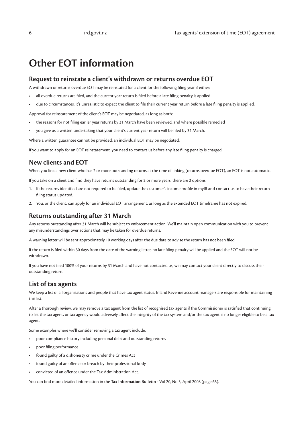# **Other EOT information**

#### **Request to reinstate a client's withdrawn or returns overdue EOT**

A withdrawn or returns overdue EOT may be reinstated for a client for the following filing year if either:

- all overdue returns are filed, and the current year return is filed before a late filing penalty is applied
- due to circumstances, it's unrealistic to expect the client to file their current year return before a late filing penalty is applied.

Approval for reinstatement of the client's EOT may be negotiated, as long as both:

- the reasons for not filing earlier year returns by 31 March have been reviewed, and where possible remedied
- you give us a written undertaking that your client's current year return will be filed by 31 March.

Where a written guarantee cannot be provided, an individual EOT may be negotiated.

If you want to apply for an EOT reinstatement, you need to contact us before any late filing penalty is charged.

#### **New clients and EOT**

When you link a new client who has 2 or more outstanding returns at the time of linking (returns overdue EOT), an EOT is not automatic.

If you take on a client and find they have returns outstanding for 2 or more years, there are 2 options.

- 1. If the returns identified are not required to be filed, update the customer's income profile in myIR and contact us to have their return filing status updated.
- 2. You, or the client, can apply for an individual EOT arrangement, as long as the extended EOT timeframe has not expired.

#### **Returns outstanding after 31 March**

Any returns outstanding after 31 March will be subject to enforcement action. We'll maintain open communication with you to prevent any misunderstandings over actions that may be taken for overdue returns.

A warning letter will be sent approximately 10 working days after the due date to advise the return has not been filed.

If the return is filed within 30 days from the date of the warning letter, no late filing penalty will be applied and the EOT will not be withdrawn.

If you have not filed 100% of your returns by 31 March and have not contacted us, we may contact your client directly to discuss their outstanding return.

#### **List of tax agents**

We keep a list of all organisations and people that have tax agent status. Inland Revenue account managers are responsible for maintaining this list.

After a thorough review, we may remove a tax agent from the list of recognised tax agents if the Commissioner is satisfied that continuing to list the tax agent, or tax agency would adversely affect the integrity of the tax system and/or the tax agent is no longer eligible to be a tax agent.

Some examples where we'll consider removing a tax agent include:

- poor compliance history including personal debt and outstanding returns
- poor filing performance
- found guilty of a dishonesty crime under the Crimes Act
- found guilty of an offence or breach by their professional body
- convicted of an offence under the Tax Administration Act.

You can find more detailed information in the **Tax Information Bulletin** - Vol 20, No 3, April 2008 (page 65).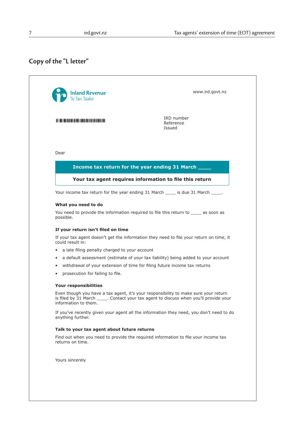### **Copy of the "L letter"**

| IRD number<br>Reference<br>Issued<br>Dear<br>Income tax return for the year ending 31 March ____<br>Your tax agent requires information to file this return<br>Your income tax return for the year ending 31 March _____ is due 31 March _____.<br>What you need to do<br>You need to provide the information required to file this return to _____ as soon as<br>possible.<br>If your return isn't filed on time<br>If your tax agent doesn't get the information they need to file your return on time, it<br>could result in:<br>a late filing penalty charged to your account<br>a default assessment (estimate of your tax liability) being added to your account<br>$\bullet$<br>withdrawal of your extension of time for filing future income tax returns<br>٠<br>prosecution for failing to file.<br>Your responsibilities<br>Even though you have a tax agent, it's your responsibility to make sure your return<br>is filed by 31 March ______. Contact your tax agent to discuss when you'll provide your<br>information to them.<br>If you've recently given your agent all the information they need, you don't need to do<br>anything further.<br>Talk to your tax agent about future returns<br>Find out when you need to provide the required information to file your income tax | Te Tari Taake    |  |
|---------------------------------------------------------------------------------------------------------------------------------------------------------------------------------------------------------------------------------------------------------------------------------------------------------------------------------------------------------------------------------------------------------------------------------------------------------------------------------------------------------------------------------------------------------------------------------------------------------------------------------------------------------------------------------------------------------------------------------------------------------------------------------------------------------------------------------------------------------------------------------------------------------------------------------------------------------------------------------------------------------------------------------------------------------------------------------------------------------------------------------------------------------------------------------------------------------------------------------------------------------------------------------------------------|------------------|--|
|                                                                                                                                                                                                                                                                                                                                                                                                                                                                                                                                                                                                                                                                                                                                                                                                                                                                                                                                                                                                                                                                                                                                                                                                                                                                                                   |                  |  |
|                                                                                                                                                                                                                                                                                                                                                                                                                                                                                                                                                                                                                                                                                                                                                                                                                                                                                                                                                                                                                                                                                                                                                                                                                                                                                                   |                  |  |
|                                                                                                                                                                                                                                                                                                                                                                                                                                                                                                                                                                                                                                                                                                                                                                                                                                                                                                                                                                                                                                                                                                                                                                                                                                                                                                   |                  |  |
|                                                                                                                                                                                                                                                                                                                                                                                                                                                                                                                                                                                                                                                                                                                                                                                                                                                                                                                                                                                                                                                                                                                                                                                                                                                                                                   |                  |  |
|                                                                                                                                                                                                                                                                                                                                                                                                                                                                                                                                                                                                                                                                                                                                                                                                                                                                                                                                                                                                                                                                                                                                                                                                                                                                                                   |                  |  |
|                                                                                                                                                                                                                                                                                                                                                                                                                                                                                                                                                                                                                                                                                                                                                                                                                                                                                                                                                                                                                                                                                                                                                                                                                                                                                                   |                  |  |
|                                                                                                                                                                                                                                                                                                                                                                                                                                                                                                                                                                                                                                                                                                                                                                                                                                                                                                                                                                                                                                                                                                                                                                                                                                                                                                   |                  |  |
|                                                                                                                                                                                                                                                                                                                                                                                                                                                                                                                                                                                                                                                                                                                                                                                                                                                                                                                                                                                                                                                                                                                                                                                                                                                                                                   |                  |  |
|                                                                                                                                                                                                                                                                                                                                                                                                                                                                                                                                                                                                                                                                                                                                                                                                                                                                                                                                                                                                                                                                                                                                                                                                                                                                                                   |                  |  |
|                                                                                                                                                                                                                                                                                                                                                                                                                                                                                                                                                                                                                                                                                                                                                                                                                                                                                                                                                                                                                                                                                                                                                                                                                                                                                                   |                  |  |
|                                                                                                                                                                                                                                                                                                                                                                                                                                                                                                                                                                                                                                                                                                                                                                                                                                                                                                                                                                                                                                                                                                                                                                                                                                                                                                   |                  |  |
|                                                                                                                                                                                                                                                                                                                                                                                                                                                                                                                                                                                                                                                                                                                                                                                                                                                                                                                                                                                                                                                                                                                                                                                                                                                                                                   |                  |  |
|                                                                                                                                                                                                                                                                                                                                                                                                                                                                                                                                                                                                                                                                                                                                                                                                                                                                                                                                                                                                                                                                                                                                                                                                                                                                                                   |                  |  |
|                                                                                                                                                                                                                                                                                                                                                                                                                                                                                                                                                                                                                                                                                                                                                                                                                                                                                                                                                                                                                                                                                                                                                                                                                                                                                                   |                  |  |
|                                                                                                                                                                                                                                                                                                                                                                                                                                                                                                                                                                                                                                                                                                                                                                                                                                                                                                                                                                                                                                                                                                                                                                                                                                                                                                   |                  |  |
|                                                                                                                                                                                                                                                                                                                                                                                                                                                                                                                                                                                                                                                                                                                                                                                                                                                                                                                                                                                                                                                                                                                                                                                                                                                                                                   |                  |  |
|                                                                                                                                                                                                                                                                                                                                                                                                                                                                                                                                                                                                                                                                                                                                                                                                                                                                                                                                                                                                                                                                                                                                                                                                                                                                                                   |                  |  |
|                                                                                                                                                                                                                                                                                                                                                                                                                                                                                                                                                                                                                                                                                                                                                                                                                                                                                                                                                                                                                                                                                                                                                                                                                                                                                                   | returns on time. |  |